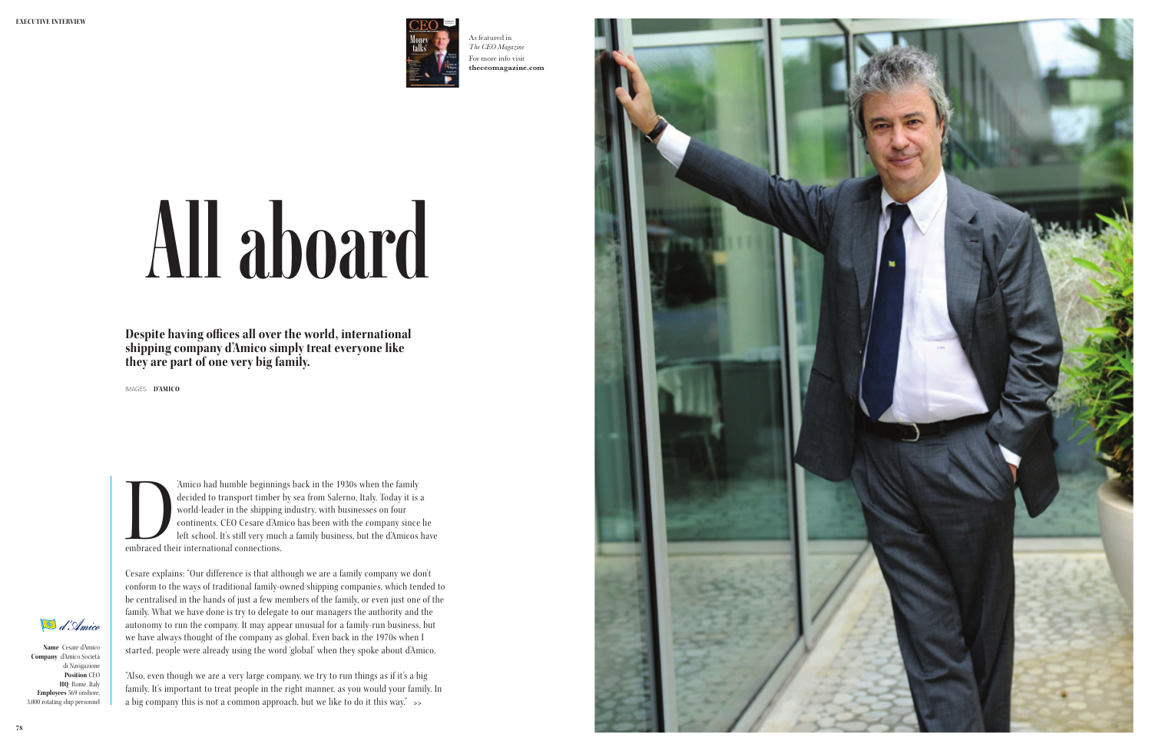**Name** Cesare d'Amico **Company** d'Amico Società di Navigazione **Position** CEO **HQ** Rome, Italy **Employees** 569 onshore, 3,000 rotating ship personnel **Despite having offices all over the world, international shipping company d'Amico simply treat everyone like they are part of one very big family.**

IMAGES **D'AMICO**

Amico had humble beginnings back in the 1930s when the family decided to transport timber by sea from Salerno, Italy. Today it is world-leader in the shipping industry, with businesses on four continents. CEO Cesare d'Amic decided to transport timber by sea from Salerno, Italy. Today it is a world-leader in the shipping industry, with businesses on four continents. CEO Cesare d'Amico has been with the company since he left school. It's still very much a family business, but the d'Amicos have embraced their international connections.

Cesare explains: "Our difference is that although we are a family company we don't conform to the ways of traditional family-owned shipping companies, which tended to be centralised in the hands of just a few members of the family, or even just one of the family. What we have done is try to delegate to our managers the authority and the autonomy to run the company. It may appear unusual for a family-run business, but we have always thought of the company as global. Even back in the 1970s when I started, people were already using the word 'global' when they spoke about d'Amico.

"Also, even though we are a very large company, we try to run things as if it's a big family. It's important to treat people in the right manner, as you would your family. In a big company this is not a common approach, but we like to do it this way."





# All aboard

As featured in *The CEO Magazine* For more info visit **<theceomagazine.com>**